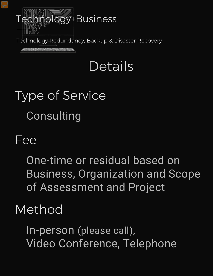

Technology Redundancy, Backup & Disaster Recovery

<u>statemente esta</u>

## Details

# Type of Service Consulting

#### Fee

One-time or residual based on Business, Organization and Scope of Assessment and Project

#### Method

In-person (please call), Video Conference, Telephone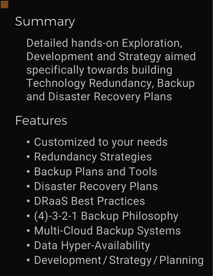### Summary

Detailed hands-on Exploration, Development and Strategy aimed specifically towards building Technology Redundancy, Backup and Disaster Recovery Plans

Features

- Customized to your needs
- Redundancy Strategies
- Backup Plans and Tools
- Disaster Recovery Plans
- DRaaS Best Practices
- (4)-3-2-1 Backup Philosophy
- Multi-Cloud Backup Systems
- Data Hyper-Availability
- Development / Strategy / Planning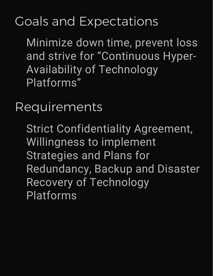### Goals and Expectations

Minimize down time, prevent loss and strive for "Continuous Hyper-Availability of Technology Platforms"

Requirements

Strict Confidentiality Agreement, Willingness to implement Strategies and Plans for Redundancy, Backup and Disaster Recovery of Technology Platforms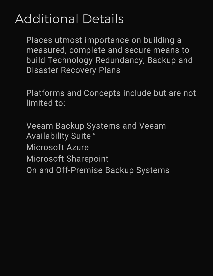### Additional Details

Places utmost importance on building a measured, complete and secure means to build Technology Redundancy, Backup and Disaster Recovery Plans

Platforms and Concepts include but are not limited to:

Veeam Backup Systems and Veeam Availability Suite™ Microsoft Azure Microsoft Sharepoint On and Off-Premise Backup Systems